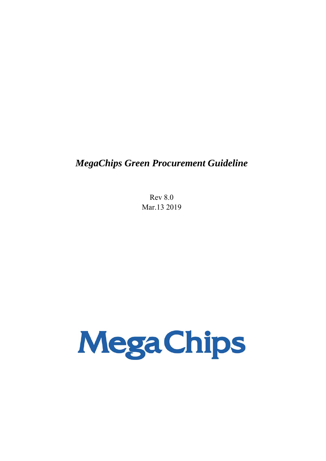# *MegaChips Green Procurement Guideline*

Rev 8.0 Mar.13 2019

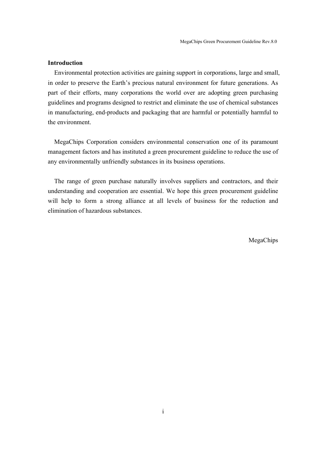## **Introduction**

Environmental protection activities are gaining support in corporations, large and small, in order to preserve the Earth's precious natural environment for future generations. As part of their efforts, many corporations the world over are adopting green purchasing guidelines and programs designed to restrict and eliminate the use of chemical substances in manufacturing, end-products and packaging that are harmful or potentially harmful to the environment.

MegaChips Corporation considers environmental conservation one of its paramount management factors and has instituted a green procurement guideline to reduce the use of any environmentally unfriendly substances in its business operations.

The range of green purchase naturally involves suppliers and contractors, and their understanding and cooperation are essential. We hope this green procurement guideline will help to form a strong alliance at all levels of business for the reduction and elimination of hazardous substances.

MegaChips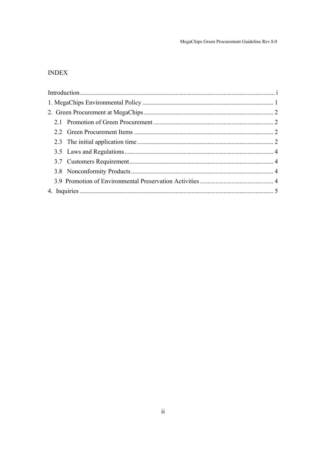MegaChips Green Procurement Guideline Rev.8.0

# **INDEX**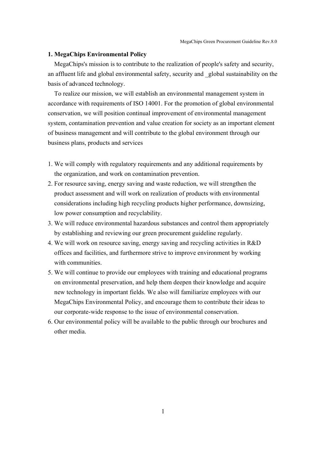#### **1. MegaChips Environmental Policy**

MegaChips's mission is to contribute to the realization of people's safety and security, an affluent life and global environmental safety, security and \_global sustainability on the basis of advanced technology.

To realize our mission, we will establish an environmental management system in accordance with requirements of ISO 14001. For the promotion of global environmental conservation, we will position continual improvement of environmental management system, contamination prevention and value creation for society as an important element of business management and will contribute to the global environment through our business plans, products and services

- 1. We will comply with regulatory requirements and any additional requirements by the organization, and work on contamination prevention.
- 2. For resource saving, energy saving and waste reduction, we will strengthen the product assessment and will work on realization of products with environmental considerations including high recycling products higher performance, downsizing, low power consumption and recyclability.
- 3. We will reduce environmental hazardous substances and control them appropriately by establishing and reviewing our green procurement guideline regularly.
- 4. We will work on resource saving, energy saving and recycling activities in R&D offices and facilities, and furthermore strive to improve environment by working with communities.
- 5. We will continue to provide our employees with training and educational programs on environmental preservation, and help them deepen their knowledge and acquire new technology in important fields. We also will familiarize employees with our MegaChips Environmental Policy, and encourage them to contribute their ideas to our corporate-wide response to the issue of environmental conservation.
- 6. Our environmental policy will be available to the public through our brochures and other media.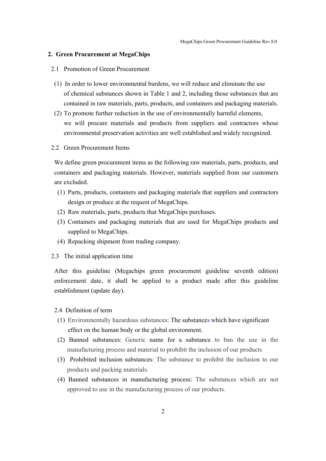#### **2. Green Procurement at MegaChips**

#### 2.1 Promotion of Green Procurement

- (1) In order to lower environmental burdens, we will reduce and eliminate the use of chemical substances shown in Table 1 and 2, including those substances that are contained in raw materials, parts, products, and containers and packaging materials.
- (2) To promote further reduction in the use of environmentally harmful elements, we will procure materials and products from suppliers and contractors whose environmental preservation activities are well established and widely recognized.
- 2.2 Green Procurement Items

We define green procurement items as the following raw materials, parts, products, and containers and packaging materials. However, materials supplied from our customers are excluded.

- (1) Parts, products, containers and packaging materials that suppliers and contractors design or produce at the request of MegaChips.
- (2) Raw materials, parts, products that MegaChips purchases.
- (3) Containers and packaging materials that are used for MegaChips products and supplied to MegaChips.
- (4) Repacking shipment from trading company.
- 2.3 The initial application time

After this guideline (Megachips green procurement guideline seventh edition) enforcement date, it shall be applied to a product made after this guideline establishment (update day).

#### 2.4 Definition of term

- (1) Environmentally hazardous substances: The substances which have significant effect on the human body or the global environment.
- (2) Banned substances: Generic name for a substance to ban the use in the manufacturing process and material to prohibit the inclusion of our products
- (3) Prohibited inclusion substances: The substance to prohibit the inclusion to our products and packing materials.
- (4) Banned substances in manufacturing process: The substances which are not approved to use in the manufacturing process of our products.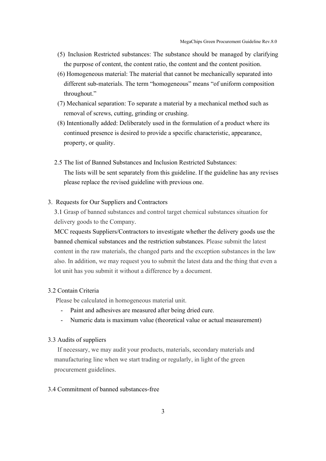- (5) Inclusion Restricted substances: The substance should be managed by clarifying the purpose of content, the content ratio, the content and the content position.
- (6) Homogeneous material: The material that cannot be mechanically separated into different sub-materials. The term "homogeneous" means "of uniform composition throughout."
- (7) Mechanical separation: To separate a material by a mechanical method such as removal of screws, cutting, grinding or crushing.
- (8) Intentionally added: Deliberately used in the formulation of a product where its continued presence is desired to provide a specific characteristic, appearance, property, or quality.
- 2.5 The list of Banned Substances and Inclusion Restricted Substances: The lists will be sent separately from this guideline. If the guideline has any revises please replace the revised guideline with previous one.

#### 3. Requests for Our Suppliers and Contractors

3.1 Grasp of banned substances and control target chemical substances situation for delivery goods to the Company.

MCC requests Suppliers/Contractors to investigate whether the delivery goods use the banned chemical substances and the restriction substances. Please submit the latest content in the raw materials, the changed parts and the exception substances in the law also. In addition, we may request you to submit the latest data and the thing that even a lot unit has you submit it without a difference by a document.

#### 3.2 Contain Criteria

Please be calculated in homogeneous material unit.

- Paint and adhesives are measured after being dried cure.
- Numeric data is maximum value (theoretical value or actual measurement)

#### 3.3 Audits of suppliers

If necessary, we may audit your products, materials, secondary materials and manufacturing line when we start trading or regularly, in light of the green procurement guidelines.

#### 3.4 Commitment of banned substances-free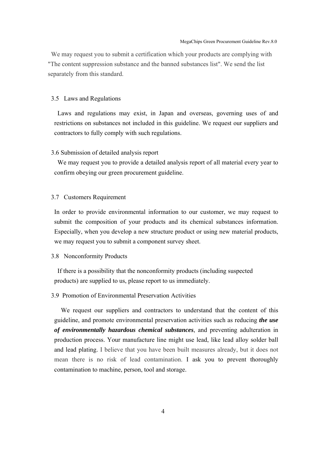We may request you to submit a certification which your products are complying with "The content suppression substance and the banned substances list". We send the list separately from this standard.

#### 3.5 Laws and Regulations

Laws and regulations may exist, in Japan and overseas, governing uses of and restrictions on substances not included in this guideline. We request our suppliers and contractors to fully comply with such regulations.

#### 3.6 Submission of detailed analysis report

We may request you to provide a detailed analysis report of all material every year to confirm obeying our green procurement guideline.

#### 3.7 Customers Requirement

In order to provide environmental information to our customer, we may request to submit the composition of your products and its chemical substances information. Especially, when you develop a new structure product or using new material products, we may request you to submit a component survey sheet.

#### 3.8 Nonconformity Products

 If there is a possibility that the nonconformity products (including suspected products) are supplied to us, please report to us immediately.

### 3.9 Promotion of Environmental Preservation Activities

 We request our suppliers and contractors to understand that the content of this guideline, and promote environmental preservation activities such as reducing *the use of environmentally hazardous chemical substances*, and preventing adulteration in production process. Your manufacture line might use lead, like lead alloy solder ball and lead plating. I believe that you have been built measures already, but it does not mean there is no risk of lead contamination. I ask you to prevent thoroughly contamination to machine, person, tool and storage.